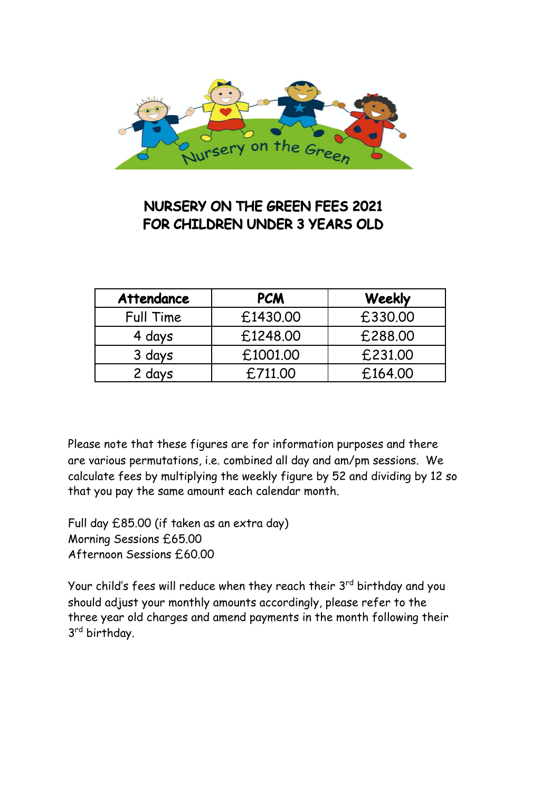

## NURSERY ON THE GREEN FEES 2021 FOR CHILDREN UNDER 3 YEARS OLD

| <b>Attendance</b> | <b>PCM</b> | Weekly  |
|-------------------|------------|---------|
| Full Time         | £1430.00   | £330.00 |
| 4 days            | £1248.00   | £288,00 |
| 3 days            | £1001.00   | £231,00 |
| 2 days            | £711.00    | £164.00 |

Please note that these figures are for information purposes and there are various permutations, i.e. combined all day and am/pm sessions. We calculate fees by multiplying the weekly figure by 52 and dividing by 12 so that you pay the same amount each calendar month.

Full day £85.00 (if taken as an extra day) Morning Sessions £65.00 Afternoon Sessions £60.00

Your child's fees will reduce when they reach their 3<sup>rd</sup> birthday and you should adjust your monthly amounts accordingly, please refer to the three year old charges and amend payments in the month following their 3<sup>rd</sup> birthday.